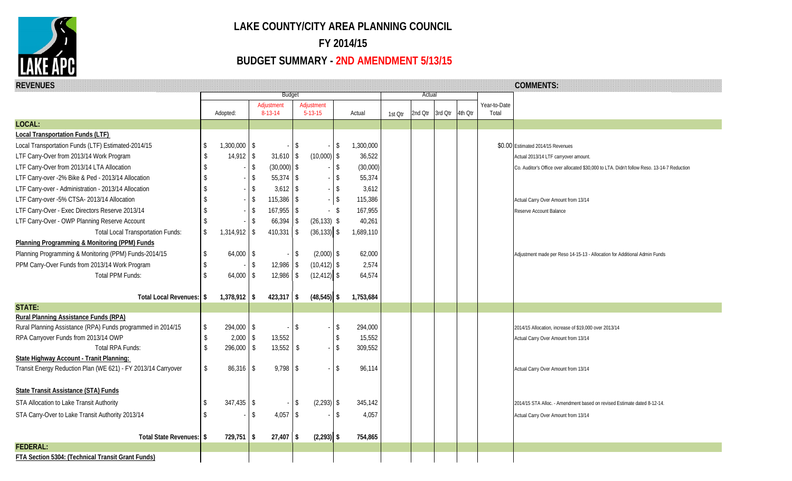

## **LAKE COUNTY/CITY AREA PLANNING COUNCIL FY 2014/15**

## **BUDGET SUMMARY - 2ND AMENDMENT 5/13/15**

| <b>REVENUES</b>                                               |              |                |                       |                             |                |                  |         |         |         |         |                       | <b>COMMENTS:</b>                                                                           |
|---------------------------------------------------------------|--------------|----------------|-----------------------|-----------------------------|----------------|------------------|---------|---------|---------|---------|-----------------------|--------------------------------------------------------------------------------------------|
|                                                               |              |                | <b>Budget</b>         |                             |                |                  |         | Actual  |         |         |                       |                                                                                            |
|                                                               |              | Adopted:       | Adjustment<br>8-13-14 | Adjustment<br>$5 - 13 - 15$ |                | Actual           | 1st Otr | 2nd Qtr | 3rd Qtr | 4th Otr | Year-to-Date<br>Total |                                                                                            |
| LOCAL:                                                        |              |                |                       |                             |                |                  |         |         |         |         |                       |                                                                                            |
| <b>Local Transportation Funds (LTF)</b>                       |              |                |                       |                             |                |                  |         |         |         |         |                       |                                                                                            |
| Local Transportation Funds (LTF) Estimated-2014/15            | \$           | $1,300,000$ \$ | $\sim$                | \$                          | $\sqrt{3}$     | 1,300,000        |         |         |         |         |                       | \$0.00 Estimated 2014/15 Revenues                                                          |
| LTF Carry-Over from 2013/14 Work Program                      | S            | $14,912$ \$    | $31,610$ \$           |                             | $(10,000)$ \$  | 36,522           |         |         |         |         |                       |                                                                                            |
| LTF Carry-Over from 2013/14 LTA Allocation                    | \$.          | \$             | $(30,000)$ \$         |                             | <b>S</b>       | (30,000)         |         |         |         |         |                       | Actual 2013/14 LTF carryover amount.                                                       |
| LTF Carry-over -2% Bike & Ped - 2013/14 Allocation            |              | -S             | $55,374$ \\$          |                             | $\sqrt{3}$     | 55,374           |         |         |         |         |                       | Co. Auditor's Office over allocated \$30,000 to LTA. Didn't follow Reso. 13-14-7 Reduction |
|                                                               |              | \$             | $3,612$ \$            |                             | $\vert$ \$     |                  |         |         |         |         |                       |                                                                                            |
| LTF Carry-over - Administration - 2013/14 Allocation          |              |                | $115,386$ \$          |                             | $-$ \$         | 3,612<br>115,386 |         |         |         |         |                       |                                                                                            |
| LTF Carry-over -5% CTSA- 2013/14 Allocation                   |              | S.             |                       |                             |                |                  |         |         |         |         |                       | Actual Carry Over Amount from 13/14                                                        |
| LTF Carry-Over - Exec Directors Reserve 2013/14               |              | \$             | $167,955$ \$          |                             | - \$           | 167,955          |         |         |         |         |                       | Reserve Account Balance                                                                    |
| LTF Carry-Over - OWP Planning Reserve Account                 |              | \$             | 66,394                | $\sqrt{3}$                  | $(26, 133)$ \$ | 40,261           |         |         |         |         |                       |                                                                                            |
| <b>Total Local Transportation Funds:</b>                      | \$           | $1,314,912$ \$ | 410,331 \$            |                             | $(36, 133)$ \$ | 1,689,110        |         |         |         |         |                       |                                                                                            |
| Planning Programming & Monitoring (PPM) Funds                 |              |                |                       |                             |                |                  |         |         |         |         |                       |                                                                                            |
| Planning Programming & Monitoring (PPM) Funds-2014/15         | \$           | $64,000$ \$    |                       | \$                          | $(2,000)$ \$   | 62,000           |         |         |         |         |                       | Adjustment made per Reso 14-15-13 - Allocation for Additional Admin Funds                  |
| PPM Carry-Over Funds from 2013/14 Work Program                | \$           | -S             | $12,986$ \$           |                             | $(10, 412)$ \$ | 2,574            |         |         |         |         |                       |                                                                                            |
| <b>Total PPM Funds:</b>                                       | \$           | $64,000$ \$    | $12,986$ \$           |                             | $(12, 412)$ \$ | 64,574           |         |         |         |         |                       |                                                                                            |
| Total Local Revenues: \$                                      |              | $1,378,912$ \$ | $423,317$ \$          |                             | $(48, 545)$ \$ | 1,753,684        |         |         |         |         |                       |                                                                                            |
| <b>STATE:</b>                                                 |              |                |                       |                             |                |                  |         |         |         |         |                       |                                                                                            |
| Rural Planning Assistance Funds (RPA)                         |              |                |                       |                             |                |                  |         |         |         |         |                       |                                                                                            |
| Rural Planning Assistance (RPA) Funds programmed in 2014/15   | \$           | $294,000$ \$   |                       | \$                          | -\$            | 294,000          |         |         |         |         |                       | 2014/15 Allocation, increase of \$19,000 over 2013/14                                      |
| RPA Carryover Funds from 2013/14 OWP                          | \$           | 2,000<br>\$    | 13,552                |                             | $\sqrt[6]{}$   | 15,552           |         |         |         |         |                       | Actual Carry Over Amount from 13/14                                                        |
| Total RPA Funds:                                              | $\mathbb{S}$ | $296,000$ \$   | $13,552$ \$           |                             | $\mathsf{\$}$  | 309,552          |         |         |         |         |                       |                                                                                            |
| State Highway Account - Tranit Planning:                      |              |                |                       |                             |                |                  |         |         |         |         |                       |                                                                                            |
| Transit Energy Reduction Plan (WE 621) - FY 2013/14 Carryover | \$           | $86,316$ \$    | $9,798$ \$            |                             | $\sqrt{2}$     | 96,114           |         |         |         |         |                       | Actual Carry Over Amount from 13/14                                                        |
|                                                               |              |                |                       |                             |                |                  |         |         |         |         |                       |                                                                                            |
| State Transit Assistance (STA) Funds                          |              |                |                       |                             |                |                  |         |         |         |         |                       |                                                                                            |
| STA Allocation to Lake Transit Authority                      | \$           | $347,435$ \$   | $\sim$                | \$                          | $(2,293)$ \$   | 345,142          |         |         |         |         |                       | 2014/15 STA Alloc. - Amendment based on revised Estimate dated 8-12-14.                    |
| STA Carry-Over to Lake Transit Authority 2013/14              |              | \$             | $4,057$ \$            |                             | -\$            | 4,057            |         |         |         |         |                       | Actual Carry Over Amount from 13/14                                                        |
|                                                               |              |                |                       |                             |                |                  |         |         |         |         |                       |                                                                                            |
| Total State Revenues: \$                                      |              | $729,751$ \$   | $27,407$ \$           |                             | $(2,293)$ \$   | 754,865          |         |         |         |         |                       |                                                                                            |
| <b>FEDERAL:</b>                                               |              |                |                       |                             |                |                  |         |         |         |         |                       |                                                                                            |
| FTA Section 5304: (Technical Transit Grant Funds)             |              |                |                       |                             |                |                  |         |         |         |         |                       |                                                                                            |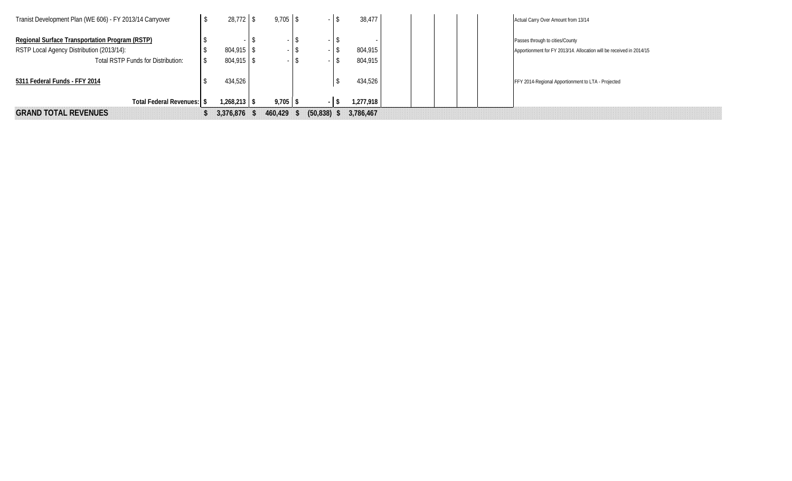| Tranist Development Plan (WE 606) - FY 2013/14 Carryover |                | $9,705$ \$ |                | 38,477    | Actual Carry Over Amount from 13/14                                  |
|----------------------------------------------------------|----------------|------------|----------------|-----------|----------------------------------------------------------------------|
| Regional Surface Transportation Program (RSTP)           |                |            |                |           | Passes through to cities/County                                      |
| RSTP Local Agency Distribution (2013/14):                | $804,915$ \$   |            |                | 804,915   | Apportionment for FY 2013/14. Allocation will be received in 2014/15 |
| Total RSTP Funds for Distribution:                       | $804,915$ \$   |            |                | 804.915   |                                                                      |
| 5311 Federal Funds - FFY 2014                            | 434,526        |            |                | 434.526   | FFY 2014-Regional Apportionment to LTA - Projected                   |
| Total Federal Revenues: \$                               | $1,268,213$ \$ | $9,705$ \$ |                | 1,277,918 |                                                                      |
| <b>GRAND TOTAL REVENUES</b>                              | 3,376,876      | 460,429    | $(50, 838)$ \$ | 3,786,467 |                                                                      |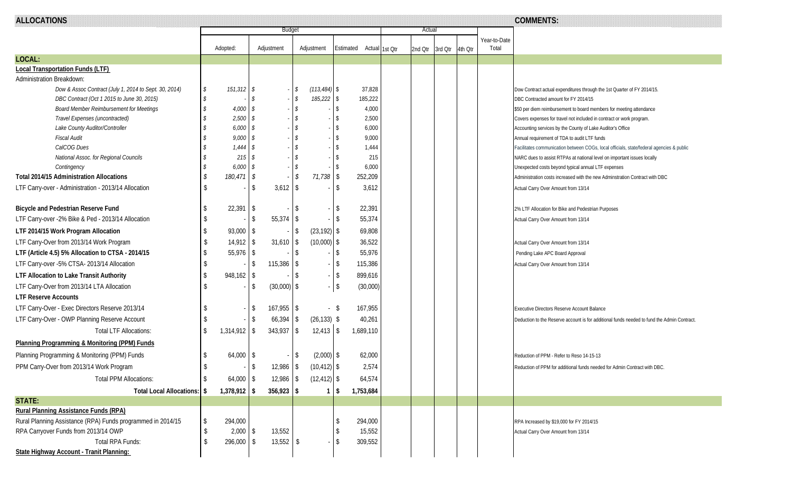| <b>ALLOCATIONS</b>                                          |          |                |                          |               |                 |            |                          |        |         |         |         |  | <b>COMMENTS:</b>      |                                                                                             |
|-------------------------------------------------------------|----------|----------------|--------------------------|---------------|-----------------|------------|--------------------------|--------|---------|---------|---------|--|-----------------------|---------------------------------------------------------------------------------------------|
|                                                             |          |                |                          | <b>Budget</b> |                 |            |                          | Actual |         |         |         |  |                       |                                                                                             |
|                                                             | Adopted: |                | Adjustment               |               | Adjustment      |            | Estimated Actual 1st Otr |        |         |         |         |  | Year-to-Date<br>Total |                                                                                             |
| LOCAL:                                                      |          |                |                          |               |                 |            |                          |        | 2nd Qtr | 3rd Qtr | 4th Otr |  |                       |                                                                                             |
| <b>Local Transportation Funds (LTF)</b>                     |          |                |                          |               |                 |            |                          |        |         |         |         |  |                       |                                                                                             |
| Administration Breakdown:                                   |          |                |                          |               |                 |            |                          |        |         |         |         |  |                       |                                                                                             |
| Dow & Assoc Contract (July 1, 2014 to Sept. 30, 2014)       | \$       | $151,312$ \$   |                          | $-5$          | $(113, 484)$ \$ |            | 37,828                   |        |         |         |         |  |                       | Dow Contract actual expenditures through the 1st Quarter of FY 2014/15.                     |
| DBC Contract (Oct 1 2015 to June 30, 2015)                  | - \$     |                | -S                       | $-1$ \$       | 185,222 \$      |            | 185,222                  |        |         |         |         |  |                       | DBC Contracted amount for FY 2014/15                                                        |
| <b>Board Member Reimbursement for Meetings</b>              |          | $4,000$ \ \$   |                          | $-1$ \$       |                 | -S         | 4,000                    |        |         |         |         |  |                       | \$50 per diem reimbursement to board members for meeting attendance                         |
| Travel Expenses (uncontracted)                              |          | $2,500$ \$     |                          | $-1$ \$       |                 |            | 2,500                    |        |         |         |         |  |                       | Covers expenses for travel not included in contract or work program.                        |
| Lake County Auditor/Controller                              |          | $6,000$ \$     |                          | $-1$ \$       |                 |            | 6,000                    |        |         |         |         |  |                       | Accounting services by the County of Lake Auditor's Office                                  |
| <b>Fiscal Audit</b>                                         |          | $9,000$ \$     |                          | $-5$          |                 | \$         | 9,000                    |        |         |         |         |  |                       | Annual requirement of TDA to audit LTF funds                                                |
| CalCOG Dues                                                 |          | $1,444$ \$     |                          | $-13$         |                 | \$         | 1,444                    |        |         |         |         |  |                       | Facilitates communication between COGs, local officials, state/federal agencies & public    |
| National Assoc. for Regional Councils                       |          | $215$ \$       |                          | $-13$         |                 |            | 215                      |        |         |         |         |  |                       | NARC dues to assist RTPAs at national level on important issues locally                     |
| Contingency                                                 |          | $6,000$ \$     |                          | $-1\sqrt{5}$  |                 | \$         | 6,000                    |        |         |         |         |  |                       | Unexpected costs beyond typical annual LTF expenses                                         |
| <b>Total 2014/15 Administration Allocations</b>             |          | $180,471$ \$   |                          | \$            | 71,738          | \$         | 252,209                  |        |         |         |         |  |                       | Administration costs increased with the new Adminstration Contract with DBC                 |
| LTF Carry-over - Administration - 2013/14 Allocation        |          |                | $3,612$ \$<br>-\$        |               |                 | -\$        | 3,612                    |        |         |         |         |  |                       | Actual Carry Over Amount from 13/14                                                         |
| Bicycle and Pedestrian Reserve Fund                         |          | $22,391$ \$    |                          | \$            |                 | \$         | 22,391                   |        |         |         |         |  |                       | 2% LTF Allocation for Bike and Pedestrian Purposes                                          |
| LTF Carry-over -2% Bike & Ped - 2013/14 Allocation          |          |                | $55,374$ \\$<br><b>S</b> |               |                 | -\$        | 55,374                   |        |         |         |         |  |                       | Actual Carry Over Amount from 13/14                                                         |
| LTF 2014/15 Work Program Allocation                         |          | $93,000$ \$    |                          | -S            | $(23, 192)$ \$  |            | 69,808                   |        |         |         |         |  |                       |                                                                                             |
| LTF Carry-Over from 2013/14 Work Program                    | -S       | $14,912$ \$    | $31,610$ \$              |               | $(10,000)$ \$   |            | 36,522                   |        |         |         |         |  |                       | Actual Carry Over Amount from 13/14                                                         |
| LTF (Article 4.5) 5% Allocation to CTSA - 2014/15           |          | $55,976$ \$    |                          | -S            |                 | \$         | 55,976                   |        |         |         |         |  |                       |                                                                                             |
|                                                             |          |                | $115,386$ \$             |               |                 | -\$        | 115,386                  |        |         |         |         |  |                       | Pending Lake APC Board Approval                                                             |
| LTF Carry-over -5% CTSA- 2013/14 Allocation                 |          |                | \$                       |               |                 |            |                          |        |         |         |         |  |                       | Actual Carry Over Amount from 13/14                                                         |
| LTF Allocation to Lake Transit Authority                    | S.       | $948,162$ \$   |                          | <b>S</b>      |                 | $\sqrt{3}$ | 899,616                  |        |         |         |         |  |                       |                                                                                             |
| LTF Carry-Over from 2013/14 LTA Allocation                  |          |                | $(30,000)$ \$<br>-\$     |               |                 | \$         | (30,000)                 |        |         |         |         |  |                       |                                                                                             |
| <b>LTF Reserve Accounts</b>                                 |          |                |                          |               |                 |            |                          |        |         |         |         |  |                       |                                                                                             |
| LTF Carry-Over - Exec Directors Reserve 2013/14             |          |                | $167,955$ \$<br>\$       |               |                 | - \$       | 167,955                  |        |         |         |         |  |                       | Executive Directors Reserve Account Balance                                                 |
| LTF Carry-Over - OWP Planning Reserve Account               |          |                | $66,394$ \$<br>\$        |               | $(26, 133)$ \$  |            | 40,261                   |        |         |         |         |  |                       | Deduction to the Reserve account is for additional funds needed to fund the Admin Contract. |
| <b>Total LTF Allocations:</b>                               |          | $1,314,912$ \$ | $343,937$ \$             |               | $12,413$ \$     |            | 1,689,110                |        |         |         |         |  |                       |                                                                                             |
| Planning Programming & Monitoring (PPM) Funds               |          |                |                          |               |                 |            |                          |        |         |         |         |  |                       |                                                                                             |
| Planning Programming & Monitoring (PPM) Funds               |          | $64,000$ \$    |                          | \$            | $(2,000)$ \$    |            | 62,000                   |        |         |         |         |  |                       | Reduction of PPM - Refer to Reso 14-15-13                                                   |
| PPM Carry-Over from 2013/14 Work Program                    |          |                | $12,986$ \$<br>-S        |               | $(10, 412)$ \$  |            | 2,574                    |        |         |         |         |  |                       | Reduction of PPM for additional funds needed for Admin Contract with DBC                    |
| <b>Total PPM Allocations:</b>                               |          | $64,000$ \ \$  | $12,986$ \$              |               | $(12, 412)$ \$  |            | 64,574                   |        |         |         |         |  |                       |                                                                                             |
| Total Local Allocations: \\ \$                              |          | $1,378,912$ \$ | $356,923$ \$             |               | -1              | <b>S</b>   | 1,753,684                |        |         |         |         |  |                       |                                                                                             |
| <b>STATE:</b>                                               |          |                |                          |               |                 |            |                          |        |         |         |         |  |                       |                                                                                             |
| <b>Rural Planning Assistance Funds (RPA)</b>                |          |                |                          |               |                 |            |                          |        |         |         |         |  |                       |                                                                                             |
| Rural Planning Assistance (RPA) Funds programmed in 2014/15 |          | 294,000        |                          |               |                 |            | 294,000                  |        |         |         |         |  |                       | RPA Increased by \$19,000 for FY 2014/15                                                    |
| RPA Carryover Funds from 2013/14 OWP                        |          | $2,000$ \$     | 13,552                   |               |                 |            | 15,552                   |        |         |         |         |  |                       | Actual Carry Over Amount from 13/14                                                         |
| Total RPA Funds:                                            |          | 296,000 \$     | $13,552$ \$              |               |                 | -\$        | 309,552                  |        |         |         |         |  |                       |                                                                                             |
| State Highway Account - Tranit Planning:                    |          |                |                          |               |                 |            |                          |        |         |         |         |  |                       |                                                                                             |